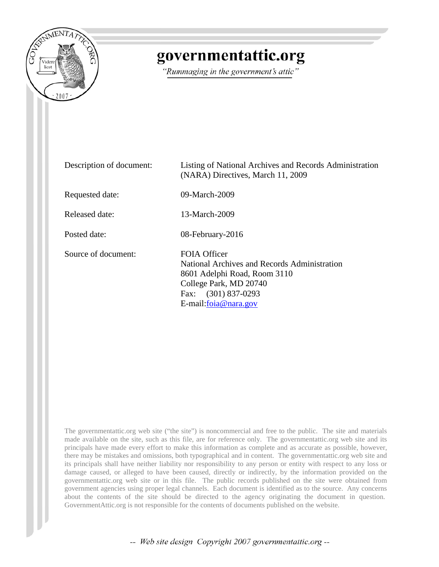

# governmentattic.org

"Rummaging in the government's attic"

| Description of document: | Listing of National Archives and Records Administration<br>(NARA) Directives, March 11, 2009                                                                                  |
|--------------------------|-------------------------------------------------------------------------------------------------------------------------------------------------------------------------------|
| Requested date:          | 09-March-2009                                                                                                                                                                 |
| Released date:           | 13-March-2009                                                                                                                                                                 |
| Posted date:             | 08-February-2016                                                                                                                                                              |
| Source of document:      | FOIA Officer<br>National Archives and Records Administration<br>8601 Adelphi Road, Room 3110<br>College Park, MD 20740<br>$(301)$ 837-0293<br>Fax:<br>$E$ -mail:foia@nara.gov |

The governmentattic.org web site ("the site") is noncommercial and free to the public. The site and materials made available on the site, such as this file, are for reference only. The governmentattic.org web site and its principals have made every effort to make this information as complete and as accurate as possible, however, there may be mistakes and omissions, both typographical and in content. The governmentattic.org web site and its principals shall have neither liability nor responsibility to any person or entity with respect to any loss or damage caused, or alleged to have been caused, directly or indirectly, by the information provided on the governmentattic.org web site or in this file. The public records published on the site were obtained from government agencies using proper legal channels. Each document is identified as to the source. Any concerns about the contents of the site should be directed to the agency originating the document in question. GovernmentAttic.org is not responsible for the contents of documents published on the website.

-- Web site design Copyright 2007 governmentattic.org --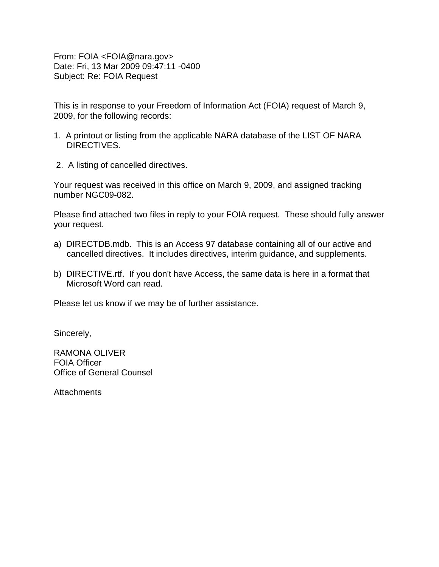From: FOIA <FOIA@nara.gov> Date: Fri, 13 Mar 2009 09:47:11 -0400 Subject: Re: FOIA Request

This is in response to your Freedom of Information Act (FOIA) request of March 9, 2009, for the following records:

- 1. A printout or listing from the applicable NARA database of the LIST OF NARA DIRECTIVES.
- 2. A listing of cancelled directives.

Your request was received in this office on March 9, 2009, and assigned tracking number NGC09-082.

Please find attached two files in reply to your FOIA request. These should fully answer your request.

- a) DIRECTDB.mdb. This is an Access 97 database containing all of our active and cancelled directives. It includes directives, interim guidance, and supplements.
- b) DIRECTIVE.rtf. If you don't have Access, the same data is here in a format that Microsoft Word can read.

Please let us know if we may be of further assistance.

Sincerely,

RAMONA OLIVER FOIA Officer Office of General Counsel

**Attachments**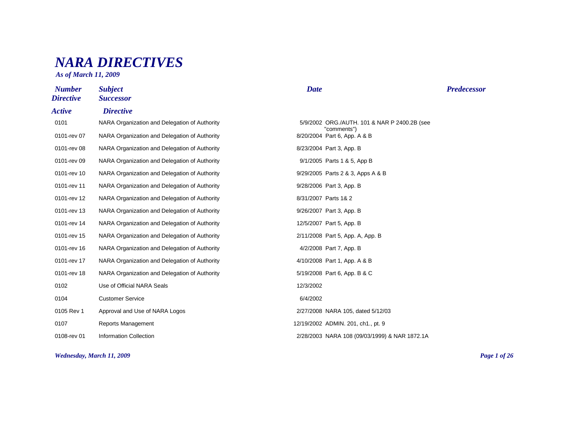## *NARA DIRECTIVES*

*As of March 11, 2009*

| <b>Number</b><br><b>Directive</b> | <b>Subject</b><br><b>Successor</b>            | <b>Date</b>                                                 | <b>Predecessor</b> |
|-----------------------------------|-----------------------------------------------|-------------------------------------------------------------|--------------------|
| <b>Active</b>                     | <b>Directive</b>                              |                                                             |                    |
| 0101                              | NARA Organization and Delegation of Authority | 5/9/2002 ORG./AUTH. 101 & NAR P 2400.2B (see<br>"comments") |                    |
| 0101-rev 07                       | NARA Organization and Delegation of Authority | 8/20/2004 Part 6, App. A & B                                |                    |
| 0101-rev 08                       | NARA Organization and Delegation of Authority | 8/23/2004 Part 3, App. B                                    |                    |
| 0101-rev 09                       | NARA Organization and Delegation of Authority | 9/1/2005 Parts 1 & 5, App B                                 |                    |
| 0101-rev 10                       | NARA Organization and Delegation of Authority | 9/29/2005 Parts 2 & 3, Apps A & B                           |                    |
| 0101-rev 11                       | NARA Organization and Delegation of Authority | 9/28/2006 Part 3, App. B                                    |                    |
| 0101-rev 12                       | NARA Organization and Delegation of Authority | 8/31/2007 Parts 1& 2                                        |                    |
| 0101-rev 13                       | NARA Organization and Delegation of Authority | 9/26/2007 Part 3, App. B                                    |                    |
| 0101-rev 14                       | NARA Organization and Delegation of Authority | 12/5/2007 Part 5, App. B                                    |                    |
| 0101-rev 15                       | NARA Organization and Delegation of Authority | 2/11/2008 Part 5, App. A, App. B                            |                    |
| 0101-rev 16                       | NARA Organization and Delegation of Authority | 4/2/2008 Part 7, App. B                                     |                    |
| 0101-rev 17                       | NARA Organization and Delegation of Authority | 4/10/2008 Part 1, App. A & B                                |                    |
| 0101-rev 18                       | NARA Organization and Delegation of Authority | 5/19/2008 Part 6, App. B & C                                |                    |
| 0102                              | Use of Official NARA Seals                    | 12/3/2002                                                   |                    |
| 0104                              | <b>Customer Service</b>                       | 6/4/2002                                                    |                    |
| 0105 Rev 1                        | Approval and Use of NARA Logos                | 2/27/2008 NARA 105, dated 5/12/03                           |                    |
| 0107                              | Reports Management                            | 12/19/2002 ADMIN. 201, ch1., pt. 9                          |                    |
| 0108-rev 01                       | <b>Information Collection</b>                 | 2/28/2003 NARA 108 (09/03/1999) & NAR 1872.1A               |                    |

*Wednesday, March 11, 2009 Page 1 of 26*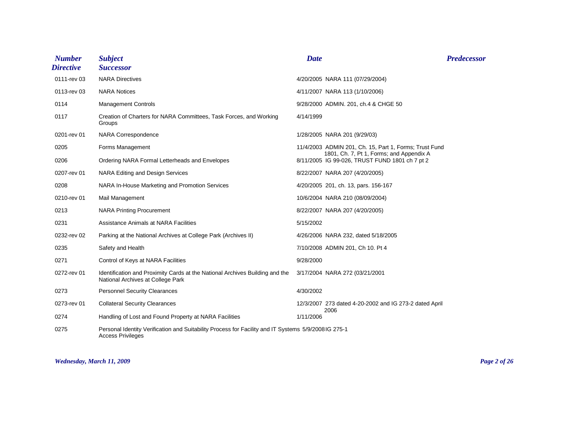| <b>Number</b><br><b>Directive</b> | <b>Subject</b><br><b>Successor</b>                                                                                              | <b>Date</b> |                                                                                            | <b>Predecessor</b> |
|-----------------------------------|---------------------------------------------------------------------------------------------------------------------------------|-------------|--------------------------------------------------------------------------------------------|--------------------|
| 0111-rev 03                       | <b>NARA Directives</b>                                                                                                          |             | 4/20/2005 NARA 111 (07/29/2004)                                                            |                    |
| 0113-rev 03                       | <b>NARA Notices</b>                                                                                                             |             | 4/11/2007 NARA 113 (1/10/2006)                                                             |                    |
| 0114                              | <b>Management Controls</b>                                                                                                      |             | 9/28/2000 ADMIN. 201, ch.4 & CHGE 50                                                       |                    |
| 0117                              | Creation of Charters for NARA Committees, Task Forces, and Working<br>Groups                                                    | 4/14/1999   |                                                                                            |                    |
| 0201-rev 01                       | <b>NARA Correspondence</b>                                                                                                      |             | 1/28/2005 NARA 201 (9/29/03)                                                               |                    |
| 0205                              | Forms Management                                                                                                                |             | 11/4/2003 ADMIN 201, Ch. 15, Part 1, Forms; Trust Fund                                     |                    |
| 0206                              | Ordering NARA Formal Letterheads and Envelopes                                                                                  |             | 1801, Ch. 7, Pt 1, Forms; and Appendix A<br>8/11/2005 IG 99-026, TRUST FUND 1801 ch 7 pt 2 |                    |
| 0207-rev 01                       | NARA Editing and Design Services                                                                                                |             | 8/22/2007 NARA 207 (4/20/2005)                                                             |                    |
| 0208                              | NARA In-House Marketing and Promotion Services                                                                                  |             | 4/20/2005 201, ch. 13, pars. 156-167                                                       |                    |
| 0210-rev 01                       | Mail Management                                                                                                                 |             | 10/6/2004 NARA 210 (08/09/2004)                                                            |                    |
| 0213                              | <b>NARA Printing Procurement</b>                                                                                                |             | 8/22/2007 NARA 207 (4/20/2005)                                                             |                    |
| 0231                              | Assistance Animals at NARA Facilities                                                                                           | 5/15/2002   |                                                                                            |                    |
| 0232-rev 02                       | Parking at the National Archives at College Park (Archives II)                                                                  |             | 4/26/2006 NARA 232, dated 5/18/2005                                                        |                    |
| 0235                              | Safety and Health                                                                                                               |             | 7/10/2008 ADMIN 201, Ch 10. Pt 4                                                           |                    |
| 0271                              | Control of Keys at NARA Facilities                                                                                              | 9/28/2000   |                                                                                            |                    |
| 0272-rev 01                       | Identification and Proximity Cards at the National Archives Building and the<br>National Archives at College Park               |             | 3/17/2004 NARA 272 (03/21/2001                                                             |                    |
| 0273                              | <b>Personnel Security Clearances</b>                                                                                            | 4/30/2002   |                                                                                            |                    |
| 0273-rev 01                       | <b>Collateral Security Clearances</b>                                                                                           |             | 12/3/2007 273 dated 4-20-2002 and IG 273-2 dated April                                     |                    |
| 0274                              | Handling of Lost and Found Property at NARA Facilities                                                                          | 1/11/2006   | 2006                                                                                       |                    |
| 0275                              | Personal Identity Verification and Suitability Process for Facility and IT Systems 5/9/2008IG 275-1<br><b>Access Privileges</b> |             |                                                                                            |                    |

#### *Wednesday, March 11, 2009 Page 2 of 26*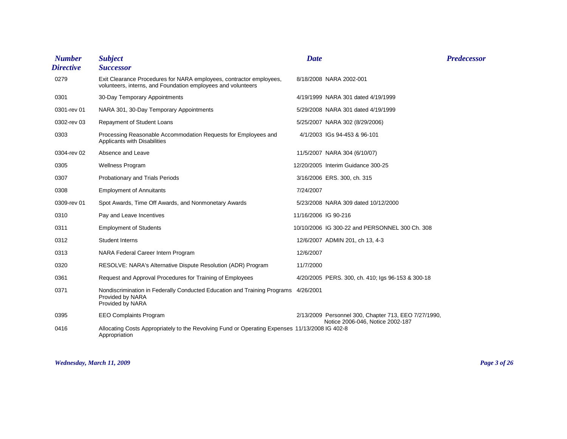| <b>Number</b><br><b>Directive</b> | <b>Subject</b><br><b>Successor</b>                                                                                                  | <b>Date</b>          |                                                                                          | <b>Predecessor</b> |
|-----------------------------------|-------------------------------------------------------------------------------------------------------------------------------------|----------------------|------------------------------------------------------------------------------------------|--------------------|
| 0279                              | Exit Clearance Procedures for NARA employees, contractor employees,<br>volunteers, interns, and Foundation employees and volunteers |                      | 8/18/2008 NARA 2002-001                                                                  |                    |
| 0301                              | 30-Day Temporary Appointments                                                                                                       |                      | 4/19/1999 NARA 301 dated 4/19/1999                                                       |                    |
| 0301-rev 01                       | NARA 301, 30-Day Temporary Appointments                                                                                             |                      | 5/29/2008 NARA 301 dated 4/19/1999                                                       |                    |
| 0302-rev 03                       | Repayment of Student Loans                                                                                                          |                      | 5/25/2007 NARA 302 (8/29/2006)                                                           |                    |
| 0303                              | Processing Reasonable Accommodation Requests for Employees and<br>Applicants with Disabilities                                      |                      | 4/1/2003 IGs 94-453 & 96-101                                                             |                    |
| 0304-rev 02                       | Absence and Leave                                                                                                                   |                      | 11/5/2007 NARA 304 (6/10/07)                                                             |                    |
| 0305                              | <b>Wellness Program</b>                                                                                                             |                      | 12/20/2005 Interim Guidance 300-25                                                       |                    |
| 0307                              | Probationary and Trials Periods                                                                                                     |                      | 3/16/2006 ERS. 300, ch. 315                                                              |                    |
| 0308                              | <b>Employment of Annuitants</b>                                                                                                     | 7/24/2007            |                                                                                          |                    |
| 0309-rev 01                       | Spot Awards, Time Off Awards, and Nonmonetary Awards                                                                                |                      | 5/23/2008 NARA 309 dated 10/12/2000                                                      |                    |
| 0310                              | Pay and Leave Incentives                                                                                                            | 11/16/2006 IG 90-216 |                                                                                          |                    |
| 0311                              | <b>Employment of Students</b>                                                                                                       |                      | 10/10/2006 IG 300-22 and PERSONNEL 300 Ch. 308                                           |                    |
| 0312                              | <b>Student Interns</b>                                                                                                              |                      | 12/6/2007 ADMIN 201, ch 13, 4-3                                                          |                    |
| 0313                              | NARA Federal Career Intern Program                                                                                                  | 12/6/2007            |                                                                                          |                    |
| 0320                              | RESOLVE: NARA's Alternative Dispute Resolution (ADR) Program                                                                        | 11/7/2000            |                                                                                          |                    |
| 0361                              | Request and Approval Procedures for Training of Employees                                                                           |                      | 4/20/2005 PERS. 300, ch. 410; Igs 96-153 & 300-18                                        |                    |
| 0371                              | Nondiscrimination in Federally Conducted Education and Training Programs 4/26/2001<br>Provided by NARA<br>Provided by NARA          |                      |                                                                                          |                    |
| 0395                              | <b>EEO Complaints Program</b>                                                                                                       |                      | 2/13/2009 Personnel 300, Chapter 713, EEO 7/27/1990,<br>Notice 2006-046, Notice 2002-187 |                    |
| 0416                              | Allocating Costs Appropriately to the Revolving Fund or Operating Expenses 11/13/2008 IG 402-8<br>Appropriation                     |                      |                                                                                          |                    |

*Wednesday, March 11, 2009 Page 3 of 26*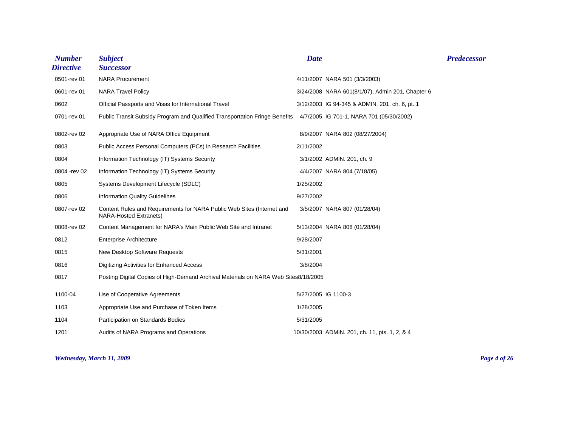| <b>Number</b><br><b>Directive</b> | <b>Subject</b><br><b>Successor</b>                                                                      | <b>Date</b> |                                                  | <b>Predecessor</b> |
|-----------------------------------|---------------------------------------------------------------------------------------------------------|-------------|--------------------------------------------------|--------------------|
| 0501-rev 01                       | <b>NARA Procurement</b>                                                                                 |             | 4/11/2007 NARA 501 (3/3/2003)                    |                    |
| 0601-rev 01                       | <b>NARA Travel Policy</b>                                                                               |             | 3/24/2008 NARA 601(8/1/07), Admin 201, Chapter 6 |                    |
| 0602                              | Official Passports and Visas for International Travel                                                   |             | 3/12/2003 IG 94-345 & ADMIN. 201, ch. 6, pt. 1   |                    |
| 0701-rev 01                       | Public Transit Subsidy Program and Qualified Transportation Fringe Benefits                             |             | 4/7/2005 IG 701-1, NARA 701 (05/30/2002)         |                    |
| 0802-rev 02                       | Appropriate Use of NARA Office Equipment                                                                |             | 8/9/2007 NARA 802 (08/27/2004)                   |                    |
| 0803                              | Public Access Personal Computers (PCs) in Research Facilities                                           | 2/11/2002   |                                                  |                    |
| 0804                              | Information Technology (IT) Systems Security                                                            |             | 3/1/2002 ADMIN. 201, ch. 9                       |                    |
| 0804 - rev 02                     | Information Technology (IT) Systems Security                                                            |             | 4/4/2007 NARA 804 (7/18/05)                      |                    |
| 0805                              | Systems Development Lifecycle (SDLC)                                                                    | 1/25/2002   |                                                  |                    |
| 0806                              | <b>Information Quality Guidelines</b>                                                                   | 9/27/2002   |                                                  |                    |
| 0807-rev 02                       | Content Rules and Requirements for NARA Public Web Sites (Internet and<br><b>NARA-Hosted Extranets)</b> |             | 3/5/2007 NARA 807 (01/28/04)                     |                    |
| 0808-rev 02                       | Content Management for NARA's Main Public Web Site and Intranet                                         |             | 5/13/2004 NARA 808 (01/28/04)                    |                    |
| 0812                              | <b>Enterprise Architecture</b>                                                                          | 9/28/2007   |                                                  |                    |
| 0815                              | New Desktop Software Requests                                                                           | 5/31/2001   |                                                  |                    |
| 0816                              | Digitizing Activities for Enhanced Access                                                               | 3/8/2004    |                                                  |                    |
| 0817                              | Posting Digital Copies of High-Demand Archival Materials on NARA Web Sites8/18/2005                     |             |                                                  |                    |
| 1100-04                           | Use of Cooperative Agreements                                                                           |             | 5/27/2005 IG 1100-3                              |                    |
| 1103                              | Appropriate Use and Purchase of Token Items                                                             | 1/28/2005   |                                                  |                    |
| 1104                              | Participation on Standards Bodies                                                                       | 5/31/2005   |                                                  |                    |
| 1201                              | Audits of NARA Programs and Operations                                                                  |             | 10/30/2003 ADMIN. 201, ch. 11, pts. 1, 2, & 4    |                    |

*Wednesday, March 11, 2009 Page 4 of 26*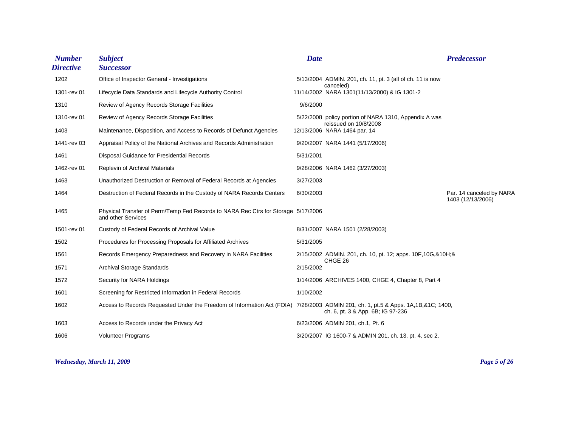| <b>Number</b><br><b>Directive</b> | <b>Subject</b><br><b>Successor</b>                                                                                                | <b>Date</b> |                                                                           | <b>Predecessor</b>                            |
|-----------------------------------|-----------------------------------------------------------------------------------------------------------------------------------|-------------|---------------------------------------------------------------------------|-----------------------------------------------|
| 1202                              | Office of Inspector General - Investigations                                                                                      |             | 5/13/2004 ADMIN. 201, ch. 11, pt. 3 (all of ch. 11 is now                 |                                               |
| 1301-rev 01                       | Lifecycle Data Standards and Lifecycle Authority Control                                                                          |             | canceled)<br>11/14/2002 NARA 1301(11/13/2000) & IG 1301-2                 |                                               |
| 1310                              | Review of Agency Records Storage Facilities                                                                                       | 9/6/2000    |                                                                           |                                               |
| 1310-rev 01                       | Review of Agency Records Storage Facilities                                                                                       |             | 5/22/2008 policy portion of NARA 1310, Appendix A was                     |                                               |
| 1403                              | Maintenance, Disposition, and Access to Records of Defunct Agencies                                                               |             | reissued on 10/8/2008<br>12/13/2006 NARA 1464 par. 14                     |                                               |
| 1441-rev 03                       | Appraisal Policy of the National Archives and Records Administration                                                              |             | 9/20/2007 NARA 1441 (5/17/2006)                                           |                                               |
| 1461                              | Disposal Guidance for Presidential Records                                                                                        | 5/31/2001   |                                                                           |                                               |
| 1462-rev 01                       | Replevin of Archival Materials                                                                                                    |             | 9/28/2006 NARA 1462 (3/27/2003)                                           |                                               |
| 1463                              | Unauthorized Destruction or Removal of Federal Records at Agencies                                                                | 3/27/2003   |                                                                           |                                               |
| 1464                              | Destruction of Federal Records in the Custody of NARA Records Centers                                                             | 6/30/2003   |                                                                           | Par. 14 canceled by NARA<br>1403 (12/13/2006) |
| 1465                              | Physical Transfer of Perm/Temp Fed Records to NARA Rec Ctrs for Storage 5/17/2006<br>and other Services                           |             |                                                                           |                                               |
| 1501-rev 01                       | Custody of Federal Records of Archival Value                                                                                      |             | 8/31/2007 NARA 1501 (2/28/2003)                                           |                                               |
| 1502                              | Procedures for Processing Proposals for Affiliated Archives                                                                       | 5/31/2005   |                                                                           |                                               |
| 1561                              | Records Emergency Preparedness and Recovery in NARA Facilities                                                                    |             | 2/15/2002 ADMIN. 201, ch. 10, pt. 12; apps. 10F, 10G, & 10H; &<br>CHGE 26 |                                               |
| 1571                              | <b>Archival Storage Standards</b>                                                                                                 | 2/15/2002   |                                                                           |                                               |
| 1572                              | Security for NARA Holdings                                                                                                        |             | 1/14/2006 ARCHIVES 1400, CHGE 4, Chapter 8, Part 4                        |                                               |
| 1601                              | Screening for Restricted Information in Federal Records                                                                           | 1/10/2002   |                                                                           |                                               |
| 1602                              | Access to Records Requested Under the Freedom of Information Act (FOIA) 7/28/2003 ADMIN 201, ch. 1, pt.5 & Apps. 1A,1B,&1C; 1400, |             | ch. 6, pt. 3 & App. 6B; IG 97-236                                         |                                               |
| 1603                              | Access to Records under the Privacy Act                                                                                           |             | 6/23/2006 ADMIN 201, ch.1, Pt. 6                                          |                                               |
| 1606                              | <b>Volunteer Programs</b>                                                                                                         |             | 3/20/2007 IG 1600-7 & ADMIN 201, ch. 13, pt. 4, sec 2.                    |                                               |

*Wednesday, March 11, 2009 Page 5 of 26*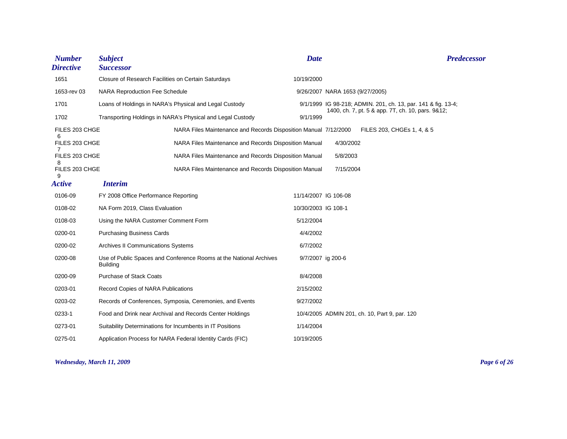| <b>Number</b><br><b>Directive</b> | <b>Subject</b><br><b>Successor</b>                                                    | <b>Date</b>          |                                 | <b>Predecessor</b>                                            |
|-----------------------------------|---------------------------------------------------------------------------------------|----------------------|---------------------------------|---------------------------------------------------------------|
| 1651                              | Closure of Research Facilities on Certain Saturdays                                   | 10/19/2000           |                                 |                                                               |
| 1653-rev 03                       | <b>NARA Reproduction Fee Schedule</b>                                                 |                      | 9/26/2007 NARA 1653 (9/27/2005) |                                                               |
| 1701                              | Loans of Holdings in NARA's Physical and Legal Custody                                |                      |                                 | 9/1/1999 IG 98-218; ADMIN. 201, ch. 13, par. 141 & fig. 13-4; |
| 1702                              | Transporting Holdings in NARA's Physical and Legal Custody                            | 9/1/1999             |                                 | 1400, ch. 7, pt. 5 & app. 7T, ch. 10, pars. 9&12;             |
| FILES 203 CHGE                    | NARA Files Maintenance and Records Disposition Manual 7/12/2000                       |                      |                                 | FILES 203, CHGEs 1, 4, & 5                                    |
| 6<br>FILES 203 CHGE               | NARA Files Maintenance and Records Disposition Manual                                 |                      | 4/30/2002                       |                                                               |
| FILES 203 CHGE                    | NARA Files Maintenance and Records Disposition Manual                                 |                      | 5/8/2003                        |                                                               |
| 8<br>FILES 203 CHGE<br>9          | NARA Files Maintenance and Records Disposition Manual                                 |                      | 7/15/2004                       |                                                               |
| <b>Active</b>                     | <b>Interim</b>                                                                        |                      |                                 |                                                               |
| 0106-09                           | FY 2008 Office Performance Reporting                                                  | 11/14/2007 IG 106-08 |                                 |                                                               |
| 0108-02                           | NA Form 2019, Class Evaluation                                                        | 10/30/2003 IG 108-1  |                                 |                                                               |
| 0108-03                           | Using the NARA Customer Comment Form                                                  | 5/12/2004            |                                 |                                                               |
| 0200-01                           | <b>Purchasing Business Cards</b>                                                      | 4/4/2002             |                                 |                                                               |
| 0200-02                           | Archives II Communications Systems                                                    | 6/7/2002             |                                 |                                                               |
| 0200-08                           | Use of Public Spaces and Conference Rooms at the National Archives<br><b>Building</b> | 9/7/2007 ig 200-6    |                                 |                                                               |
| 0200-09                           | <b>Purchase of Stack Coats</b>                                                        | 8/4/2008             |                                 |                                                               |
| 0203-01                           | <b>Record Copies of NARA Publications</b>                                             | 2/15/2002            |                                 |                                                               |
| 0203-02                           | Records of Conferences, Symposia, Ceremonies, and Events                              | 9/27/2002            |                                 |                                                               |
| 0233-1                            | Food and Drink near Archival and Records Center Holdings                              |                      |                                 | 10/4/2005 ADMIN 201, ch. 10, Part 9, par. 120                 |
| 0273-01                           | Suitability Determinations for Incumbents in IT Positions                             | 1/14/2004            |                                 |                                                               |
| 0275-01                           | Application Process for NARA Federal Identity Cards (FIC)                             | 10/19/2005           |                                 |                                                               |

*Wednesday, March 11, 2009 Page 6 of 26*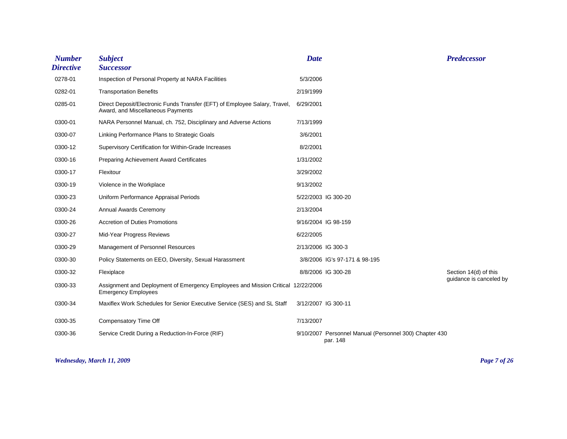| <b>Number</b><br><b>Directive</b> | <b>Subject</b><br><b>Successor</b>                                                                              | <b>Date</b>        |                                                                    | <b>Predecessor</b>                               |
|-----------------------------------|-----------------------------------------------------------------------------------------------------------------|--------------------|--------------------------------------------------------------------|--------------------------------------------------|
| 0278-01                           | Inspection of Personal Property at NARA Facilities                                                              | 5/3/2006           |                                                                    |                                                  |
| 0282-01                           | <b>Transportation Benefits</b>                                                                                  | 2/19/1999          |                                                                    |                                                  |
| 0285-01                           | Direct Deposit/Electronic Funds Transfer (EFT) of Employee Salary, Travel,<br>Award, and Miscellaneous Payments | 6/29/2001          |                                                                    |                                                  |
| 0300-01                           | NARA Personnel Manual, ch. 752, Disciplinary and Adverse Actions                                                | 7/13/1999          |                                                                    |                                                  |
| 0300-07                           | Linking Performance Plans to Strategic Goals                                                                    | 3/6/2001           |                                                                    |                                                  |
| 0300-12                           | Supervisory Certification for Within-Grade Increases                                                            | 8/2/2001           |                                                                    |                                                  |
| 0300-16                           | <b>Preparing Achievement Award Certificates</b>                                                                 | 1/31/2002          |                                                                    |                                                  |
| 0300-17                           | Flexitour                                                                                                       | 3/29/2002          |                                                                    |                                                  |
| 0300-19                           | Violence in the Workplace                                                                                       | 9/13/2002          |                                                                    |                                                  |
| 0300-23                           | Uniform Performance Appraisal Periods                                                                           |                    | 5/22/2003 IG 300-20                                                |                                                  |
| 0300-24                           | Annual Awards Ceremony                                                                                          | 2/13/2004          |                                                                    |                                                  |
| 0300-26                           | <b>Accretion of Duties Promotions</b>                                                                           |                    | 9/16/2004 IG 98-159                                                |                                                  |
| 0300-27                           | Mid-Year Progress Reviews                                                                                       | 6/22/2005          |                                                                    |                                                  |
| 0300-29                           | Management of Personnel Resources                                                                               | 2/13/2006 IG 300-3 |                                                                    |                                                  |
| 0300-30                           | Policy Statements on EEO, Diversity, Sexual Harassment                                                          |                    | 3/8/2006 IG's 97-171 & 98-195                                      |                                                  |
| 0300-32                           | Flexiplace                                                                                                      |                    | 8/8/2006 IG 300-28                                                 | Section 14(d) of this<br>guidance is canceled by |
| 0300-33                           | Assignment and Deployment of Emergency Employees and Mission Critical 12/22/2006<br><b>Emergency Employees</b>  |                    |                                                                    |                                                  |
| 0300-34                           | Maxiflex Work Schedules for Senior Executive Service (SES) and SL Staff                                         |                    | 3/12/2007 IG 300-11                                                |                                                  |
| 0300-35                           | Compensatory Time Off                                                                                           | 7/13/2007          |                                                                    |                                                  |
| 0300-36                           | Service Credit During a Reduction-In-Force (RIF)                                                                |                    | 9/10/2007 Personnel Manual (Personnel 300) Chapter 430<br>par. 148 |                                                  |

*Wednesday, March 11, 2009 Page 7 of 26*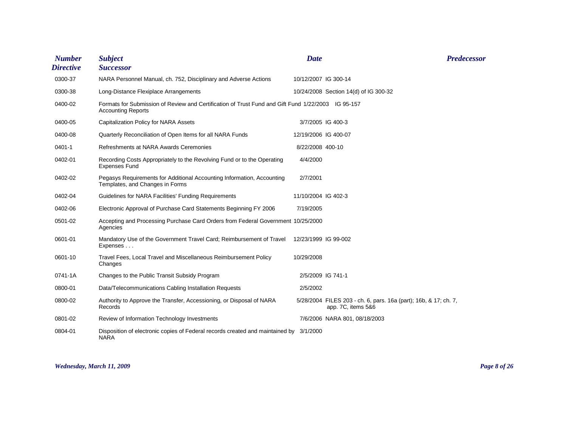| <b>Number</b><br><b>Directive</b> | <b>Subject</b><br><b>Successor</b>                                                                                              | <b>Date</b>          | <b>Predecessor</b>                                                                     |  |
|-----------------------------------|---------------------------------------------------------------------------------------------------------------------------------|----------------------|----------------------------------------------------------------------------------------|--|
| 0300-37                           | NARA Personnel Manual, ch. 752, Disciplinary and Adverse Actions                                                                | 10/12/2007 IG 300-14 |                                                                                        |  |
| 0300-38                           | Long-Distance Flexiplace Arrangements                                                                                           |                      | 10/24/2008 Section 14(d) of IG 300-32                                                  |  |
| 0400-02                           | Formats for Submission of Review and Certification of Trust Fund and Gift Fund 1/22/2003 IG 95-157<br><b>Accounting Reports</b> |                      |                                                                                        |  |
| 0400-05                           | Capitalization Policy for NARA Assets                                                                                           | 3/7/2005 IG 400-3    |                                                                                        |  |
| 0400-08                           | Quarterly Reconciliation of Open Items for all NARA Funds                                                                       | 12/19/2006 IG 400-07 |                                                                                        |  |
| 0401-1                            | Refreshments at NARA Awards Ceremonies                                                                                          | 8/22/2008 400-10     |                                                                                        |  |
| 0402-01                           | Recording Costs Appropriately to the Revolving Fund or to the Operating<br><b>Expenses Fund</b>                                 | 4/4/2000             |                                                                                        |  |
| 0402-02                           | Pegasys Requirements for Additional Accounting Information, Accounting<br>Templates, and Changes in Forms                       | 2/7/2001             |                                                                                        |  |
| 0402-04                           | Guidelines for NARA Facilities' Funding Requirements                                                                            | 11/10/2004 IG 402-3  |                                                                                        |  |
| 0402-06                           | Electronic Approval of Purchase Card Statements Beginning FY 2006                                                               | 7/19/2005            |                                                                                        |  |
| 0501-02                           | Accepting and Processing Purchase Card Orders from Federal Government 10/25/2000<br>Agencies                                    |                      |                                                                                        |  |
| 0601-01                           | Mandatory Use of the Government Travel Card; Reimbursement of Travel<br>Expenses                                                | 12/23/1999 IG 99-002 |                                                                                        |  |
| 0601-10                           | Travel Fees, Local Travel and Miscellaneous Reimbursement Policy<br>Changes                                                     | 10/29/2008           |                                                                                        |  |
| 0741-1A                           | Changes to the Public Transit Subsidy Program                                                                                   | 2/5/2009 IG 741-1    |                                                                                        |  |
| 0800-01                           | Data/Telecommunications Cabling Installation Requests                                                                           | 2/5/2002             |                                                                                        |  |
| 0800-02                           | Authority to Approve the Transfer, Accessioning, or Disposal of NARA<br>Records                                                 |                      | 5/28/2004 FILES 203 - ch. 6, pars. 16a (part); 16b, & 17; ch. 7,<br>app. 7C, items 5&6 |  |
| 0801-02                           | Review of Information Technology Investments                                                                                    |                      | 7/6/2006 NARA 801, 08/18/2003                                                          |  |
| 0804-01                           | Disposition of electronic copies of Federal records created and maintained by 3/1/2000<br><b>NARA</b>                           |                      |                                                                                        |  |

#### *Wednesday, March 11, 2009 Page 8 of 26*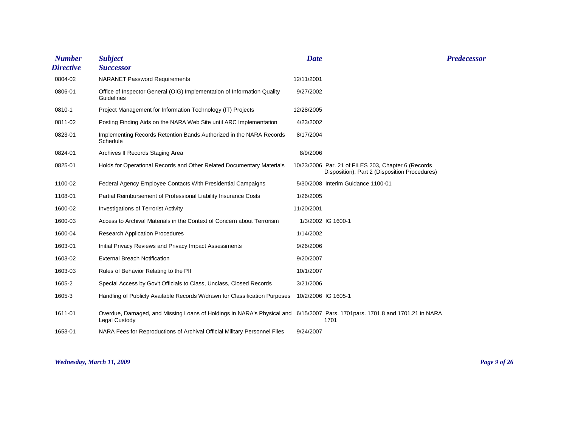| <b>Number</b><br><b>Directive</b> | <b>Subject</b><br><b>Successor</b>                                                                                                            | <b>Date</b>         |                                                                                                      | <b>Predecessor</b> |
|-----------------------------------|-----------------------------------------------------------------------------------------------------------------------------------------------|---------------------|------------------------------------------------------------------------------------------------------|--------------------|
| 0804-02                           | <b>NARANET Password Requirements</b>                                                                                                          | 12/11/2001          |                                                                                                      |                    |
| 0806-01                           | Office of Inspector General (OIG) Implementation of Information Quality<br>Guidelines                                                         | 9/27/2002           |                                                                                                      |                    |
| 0810-1                            | Project Management for Information Technology (IT) Projects                                                                                   | 12/28/2005          |                                                                                                      |                    |
| 0811-02                           | Posting Finding Aids on the NARA Web Site until ARC Implementation                                                                            | 4/23/2002           |                                                                                                      |                    |
| 0823-01                           | Implementing Records Retention Bands Authorized in the NARA Records<br>Schedule                                                               | 8/17/2004           |                                                                                                      |                    |
| 0824-01                           | Archives II Records Staging Area                                                                                                              | 8/9/2006            |                                                                                                      |                    |
| 0825-01                           | Holds for Operational Records and Other Related Documentary Materials                                                                         |                     | 10/23/2006 Par. 21 of FILES 203, Chapter 6 (Records<br>Disposition), Part 2 (Disposition Procedures) |                    |
| 1100-02                           | Federal Agency Employee Contacts With Presidential Campaigns                                                                                  |                     | 5/30/2008 Interim Guidance 1100-01                                                                   |                    |
| 1108-01                           | Partial Reimbursement of Professional Liability Insurance Costs                                                                               | 1/26/2005           |                                                                                                      |                    |
| 1600-02                           | <b>Investigations of Terrorist Activity</b>                                                                                                   | 11/20/2001          |                                                                                                      |                    |
| 1600-03                           | Access to Archival Materials in the Context of Concern about Terrorism                                                                        |                     | 1/3/2002 IG 1600-1                                                                                   |                    |
| 1600-04                           | <b>Research Application Procedures</b>                                                                                                        | 1/14/2002           |                                                                                                      |                    |
| 1603-01                           | Initial Privacy Reviews and Privacy Impact Assessments                                                                                        | 9/26/2006           |                                                                                                      |                    |
| 1603-02                           | <b>External Breach Notification</b>                                                                                                           | 9/20/2007           |                                                                                                      |                    |
| 1603-03                           | Rules of Behavior Relating to the PII                                                                                                         | 10/1/2007           |                                                                                                      |                    |
| 1605-2                            | Special Access by Gov't Officials to Class, Unclass, Closed Records                                                                           | 3/21/2006           |                                                                                                      |                    |
| 1605-3                            | Handling of Publicly Available Records W/drawn for Classification Purposes                                                                    | 10/2/2006 IG 1605-1 |                                                                                                      |                    |
| 1611-01                           | Overdue, Damaged, and Missing Loans of Holdings in NARA's Physical and 6/15/2007 Pars. 1701 pars. 1701.8 and 1701.21 in NARA<br>Legal Custody |                     | 1701                                                                                                 |                    |
| 1653-01                           | NARA Fees for Reproductions of Archival Official Military Personnel Files                                                                     | 9/24/2007           |                                                                                                      |                    |

#### *Wednesday, March 11, 2009 Page 9 of 26*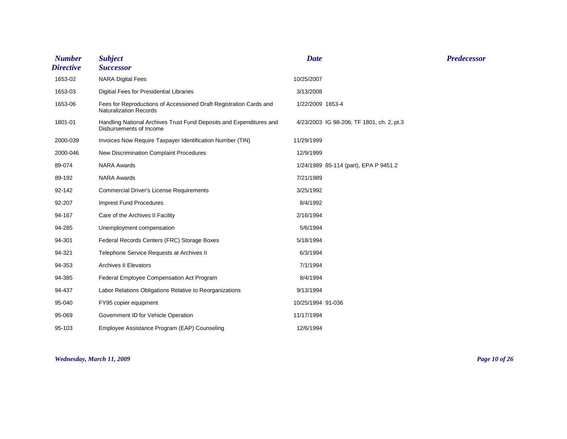| <b>Number</b><br><b>Directive</b> | <b>Subject</b><br><b>Successor</b>                                                                  | <b>Date</b>                               | <b>Predecessor</b> |
|-----------------------------------|-----------------------------------------------------------------------------------------------------|-------------------------------------------|--------------------|
| 1653-02                           | <b>NARA Digital Fees</b>                                                                            | 10/25/2007                                |                    |
| 1653-03                           | Digitial Fees for Presidential Libraries                                                            | 3/13/2008                                 |                    |
| 1653-06                           | Fees for Reproductions of Accessioned Draft Registration Cards and<br><b>Naturalization Records</b> | 1/22/2009 1653-4                          |                    |
| 1801-01                           | Handling National Archives Trust Fund Deposits and Expenditures and<br>Disbursements of Income      | 4/23/2003 IG 98-206; TF 1801, ch. 2, pt.3 |                    |
| 2000-039                          | Invoices Now Require Taxpayer Identification Number (TIN)                                           | 11/29/1999                                |                    |
| 2000-046                          | New Discrimination Complaint Procedures                                                             | 12/9/1999                                 |                    |
| 89-074                            | <b>NARA Awards</b>                                                                                  | 1/24/1989 85-114 (part), EPA P 9451.2     |                    |
| 89-192                            | <b>NARA Awards</b>                                                                                  | 7/21/1989                                 |                    |
| 92-142                            | <b>Commercial Driver's License Requirements</b>                                                     | 3/25/1992                                 |                    |
| 92-207                            | <b>Imprest Fund Procedures</b>                                                                      | 8/4/1992                                  |                    |
| 94-167                            | Care of the Archives II Facility                                                                    | 2/16/1994                                 |                    |
| 94-285                            | Unemployment compensation                                                                           | 5/6/1994                                  |                    |
| 94-301                            | Federal Records Centers (FRC) Storage Boxes                                                         | 5/18/1994                                 |                    |
| 94-321                            | Telephone Service Requests at Archives II                                                           | 6/3/1994                                  |                    |
| 94-353                            | <b>Archives II Elevators</b>                                                                        | 7/1/1994                                  |                    |
| 94-385                            | Federal Employee Compensation Act Program                                                           | 8/4/1994                                  |                    |
| 94-437                            | Labor Relations Obligations Relative to Reorganizations                                             | 9/13/1994                                 |                    |
| 95-040                            | FY95 copier equipment                                                                               | 10/25/1994 91-036                         |                    |
| 95-069                            | Government ID for Vehicle Operation                                                                 | 11/17/1994                                |                    |
| 95-103                            | Employee Assistance Program (EAP) Counseling                                                        | 12/6/1994                                 |                    |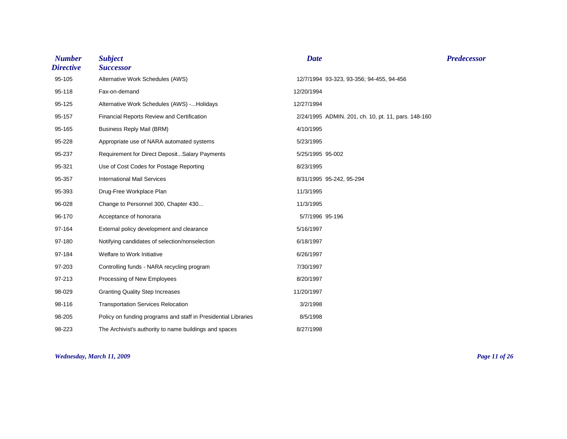| <b>Number</b><br><b>Directive</b> | <b>Subject</b><br><b>Successor</b>                             | <b>Date</b>                                         | <b>Predecessor</b> |
|-----------------------------------|----------------------------------------------------------------|-----------------------------------------------------|--------------------|
| 95-105                            | Alternative Work Schedules (AWS)                               | 12/7/1994 93-323, 93-356; 94-455, 94-456            |                    |
| 95-118                            | Fax-on-demand                                                  | 12/20/1994                                          |                    |
| 95-125                            | Alternative Work Schedules (AWS) -Holidays                     | 12/27/1994                                          |                    |
| 95-157                            | Financial Reports Review and Certification                     | 2/24/1995 ADMIN. 201, ch. 10, pt. 11, pars. 148-160 |                    |
| 95-165                            | <b>Business Reply Mail (BRM)</b>                               | 4/10/1995                                           |                    |
| 95-228                            | Appropriate use of NARA automated systems                      | 5/23/1995                                           |                    |
| 95-237                            | Requirement for Direct DepositSalary Payments                  | 5/25/1995 95-002                                    |                    |
| 95-321                            | Use of Cost Codes for Postage Reporting                        | 8/23/1995                                           |                    |
| 95-357                            | <b>International Mail Services</b>                             | 8/31/1995 95-242, 95-294                            |                    |
| 95-393                            | Drug-Free Workplace Plan                                       | 11/3/1995                                           |                    |
| 96-028                            | Change to Personnel 300, Chapter 430                           | 11/3/1995                                           |                    |
| 96-170                            | Acceptance of honoraria                                        | 5/7/1996 95-196                                     |                    |
| 97-164                            | External policy development and clearance                      | 5/16/1997                                           |                    |
| 97-180                            | Notifying candidates of selection/nonselection                 | 6/18/1997                                           |                    |
| 97-184                            | Welfare to Work Initiative                                     | 6/26/1997                                           |                    |
| 97-203                            | Controlling funds - NARA recycling program                     | 7/30/1997                                           |                    |
| 97-213                            | Processing of New Employees                                    | 8/20/1997                                           |                    |
| 98-029                            | <b>Granting Quality Step Increases</b>                         | 11/20/1997                                          |                    |
| 98-116                            | <b>Transportation Services Relocation</b>                      | 3/2/1998                                            |                    |
| 98-205                            | Policy on funding programs and staff in Presidential Libraries | 8/5/1998                                            |                    |
| 98-223                            | The Archivist's authority to name buildings and spaces         | 8/27/1998                                           |                    |

#### *Wednesday, March 11, 2009 Page 11 of 26*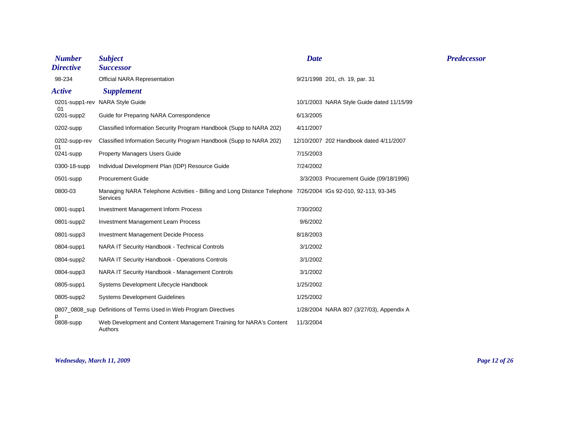| <b>Number</b><br><b>Directive</b> | <b>Subject</b><br><b>Successor</b>                                                                                               | <b>Date</b> |                                           | <b>Predecessor</b> |
|-----------------------------------|----------------------------------------------------------------------------------------------------------------------------------|-------------|-------------------------------------------|--------------------|
| 98-234                            | <b>Official NARA Representation</b>                                                                                              |             | 9/21/1998 201, ch. 19, par. 31            |                    |
| <b>Active</b>                     | <b>Supplement</b>                                                                                                                |             |                                           |                    |
| 01                                | 0201-supp1-rev NARA Style Guide                                                                                                  |             | 10/1/2003 NARA Style Guide dated 11/15/99 |                    |
| 0201-supp2                        | Guide for Preparing NARA Correspondence                                                                                          | 6/13/2005   |                                           |                    |
| 0202-supp                         | Classified Information Security Program Handbook (Supp to NARA 202)                                                              | 4/11/2007   |                                           |                    |
| 0202-supp-rev                     | Classified Information Security Program Handbook (Supp to NARA 202)                                                              |             | 12/10/2007 202 Handbook dated 4/11/2007   |                    |
| 01<br>0241-supp                   | <b>Property Managers Users Guide</b>                                                                                             | 7/15/2003   |                                           |                    |
| 0300-18-supp                      | Individual Development Plan (IDP) Resource Guide                                                                                 | 7/24/2002   |                                           |                    |
| 0501-supp                         | <b>Procurement Guide</b>                                                                                                         |             | 3/3/2003 Procurement Guide (09/18/1996)   |                    |
| 0800-03                           | Managing NARA Telephone Activities - Billing and Long Distance Telephone 7/26/2004 IGs 92-010, 92-113, 93-345<br><b>Services</b> |             |                                           |                    |
| 0801-supp1                        | <b>Investment Management Inform Process</b>                                                                                      | 7/30/2002   |                                           |                    |
| 0801-supp2                        | <b>Investment Management Learn Process</b>                                                                                       | 9/6/2002    |                                           |                    |
| 0801-supp3                        | <b>Investment Management Decide Process</b>                                                                                      | 8/18/2003   |                                           |                    |
| 0804-supp1                        | NARA IT Security Handbook - Technical Controls                                                                                   | 3/1/2002    |                                           |                    |
| 0804-supp2                        | NARA IT Security Handbook - Operations Controls                                                                                  | 3/1/2002    |                                           |                    |
| 0804-supp3                        | NARA IT Security Handbook - Management Controls                                                                                  | 3/1/2002    |                                           |                    |
| 0805-supp1                        | Systems Development Lifecycle Handbook                                                                                           | 1/25/2002   |                                           |                    |
| 0805-supp2                        | <b>Systems Development Guidelines</b>                                                                                            | 1/25/2002   |                                           |                    |
|                                   | 0807_0808_sup Definitions of Terms Used in Web Program Directives                                                                |             | 1/28/2004 NARA 807 (3/27/03), Appendix A  |                    |
| 0808-supp                         | Web Development and Content Management Training for NARA's Content<br>Authors                                                    | 11/3/2004   |                                           |                    |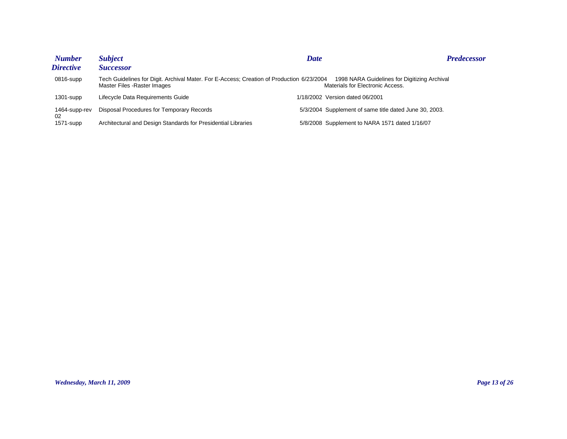| <b>Number</b>       | <b>Subject</b>                                                                                                            | <b>Date</b>                                            | <b>Predecessor</b>                           |
|---------------------|---------------------------------------------------------------------------------------------------------------------------|--------------------------------------------------------|----------------------------------------------|
| <i>Directive</i>    | <b>Successor</b>                                                                                                          |                                                        |                                              |
| $0816$ -supp        | Tech Guidelines for Digit. Archival Mater. For E-Access; Creation of Production 6/23/2004<br>Master Files - Raster Images | Materials for Electronic Access.                       | 1998 NARA Guidelines for Digitizing Archival |
| $1301$ -supp        | Lifecycle Data Requirements Guide                                                                                         | 1/18/2002 Version dated 06/2001                        |                                              |
| 1464-supp-rev<br>02 | Disposal Procedures for Temporary Records                                                                                 | 5/3/2004 Supplement of same title dated June 30, 2003. |                                              |
| $1571$ -supp        | Architectural and Design Standards for Presidential Libraries                                                             | 5/8/2008 Supplement to NARA 1571 dated 1/16/07         |                                              |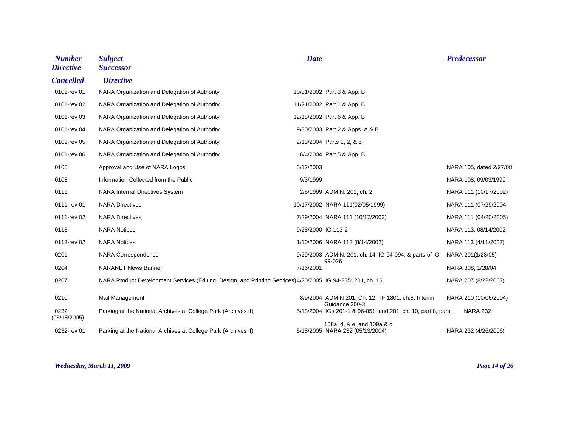| <b>Number</b><br><b>Directive</b> | <b>Subject</b><br><b>Successor</b>                                                                          | <b>Date</b>        |                                                                      | <b>Predecessor</b>      |
|-----------------------------------|-------------------------------------------------------------------------------------------------------------|--------------------|----------------------------------------------------------------------|-------------------------|
| <b>Cancelled</b>                  | <b>Directive</b>                                                                                            |                    |                                                                      |                         |
| 0101-rev 01                       | NARA Organization and Delegation of Authority                                                               |                    | 10/31/2002 Part 3 & App. B                                           |                         |
| 0101-rev 02                       | NARA Organization and Delegation of Authority                                                               |                    | 11/21/2002 Part 1 & App. B                                           |                         |
| 0101-rev 03                       | NARA Organization and Delegation of Authority                                                               |                    | 12/18/2002 Part 6 & App. B                                           |                         |
| 0101-rev 04                       | NARA Organization and Delegation of Authority                                                               |                    | 9/30/2003 Part 2 & Apps. A & B                                       |                         |
| 0101-rev 05                       | NARA Organization and Delegation of Authority                                                               |                    | 2/13/2004 Parts 1, 2, & 5                                            |                         |
| 0101-rev 06                       | NARA Organization and Delegation of Authority                                                               |                    | 6/4/2004 Part 5 & App. B                                             |                         |
| 0105                              | Approval and Use of NARA Logos                                                                              | 5/12/2003          |                                                                      | NARA 105, dated 2/27/08 |
| 0108                              | Information Collected from the Public                                                                       | 9/3/1999           |                                                                      | NARA 108, 09/03/1999    |
| 0111                              | <b>NARA Internal Directives System</b>                                                                      |                    | 2/5/1999 ADMIN. 201, ch. 2                                           | NARA 111 (10/17/2002)   |
| 0111-rev 01                       | <b>NARA Directives</b>                                                                                      |                    | 10/17/2002 NARA 111(02/05/1999)                                      | NARA 111 (07/29/2004    |
| 0111-rev 02                       | <b>NARA Directives</b>                                                                                      |                    | 7/29/2004 NARA 111 (10/17/2002)                                      | NARA 111 (04/20/2005)   |
| 0113                              | <b>NARA Notices</b>                                                                                         | 9/28/2000 IG 113-2 |                                                                      | NARA 113, 08/14/2002    |
| 0113-rev 02                       | <b>NARA Notices</b>                                                                                         |                    | 1/10/2006 NARA 113 (8/14/2002)                                       | NARA 113 (4/11/2007)    |
| 0201                              | <b>NARA Correspondence</b>                                                                                  |                    | 9/29/2003 ADMIN. 201, ch. 14, IG 94-094, & parts of IG               | NARA 201(1/28/05)       |
| 0204                              | <b>NARANET News Banner</b>                                                                                  | 7/16/2001          | 99-026                                                               | NARA 808, 1/28/04       |
| 0207                              | NARA Product Development Services (Editing, Design, and Printing Services) 4/20/2005 IG 94-235; 201, ch. 16 |                    |                                                                      | NARA 207 (8/22/2007)    |
| 0210                              | Mail Management                                                                                             |                    | 8/9/2004 ADMIN 201, Ch. 12, TF 1801, ch.8, Interim<br>Guidance 200-3 | NARA 210 (10/06/2004)   |
| 0232<br>(05/18/2005)              | Parking at the National Archives at College Park (Archives II)                                              |                    | 5/13/2004 IGs 201-1 & 96-051; and 201, ch. 10, part 8, pars.         | <b>NARA 232</b>         |
| 0232-rev 01                       | Parking at the National Archives at College Park (Archives II)                                              |                    | 108a, d, & e; and 109a & c<br>5/18/2005 NARA 232 (05/13/2004)        | NARA 232 (4/26/2006)    |

#### *Wednesday, March 11, 2009 Page 14 of 26*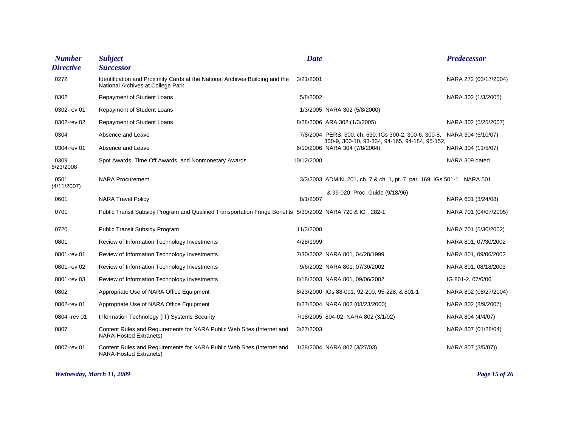| <b>Number</b>       | <b>Subject</b>                                                                                                    | <b>Date</b> |                                                                                                         | <b>Predecessor</b>    |
|---------------------|-------------------------------------------------------------------------------------------------------------------|-------------|---------------------------------------------------------------------------------------------------------|-----------------------|
| <b>Directive</b>    | <b>Successor</b>                                                                                                  |             |                                                                                                         |                       |
| 0272                | Identification and Proximity Cards at the National Archives Building and the<br>National Archives at College Park | 3/21/2001   |                                                                                                         | NARA 272 (03/17/2004) |
| 0302                | Repayment of Student Loans                                                                                        | 5/8/2002    |                                                                                                         | NARA 302 (1/3/2005)   |
| 0302-rev 01         | Repayment of Student Loans                                                                                        |             | 1/3/2005 NARA 302 (5/8/2000)                                                                            |                       |
| 0302-rev 02         | Repayment of Student Loans                                                                                        |             | 8/28/2006 ARA 302 (1/3/2005)                                                                            | NARA 302 (5/25/2007)  |
| 0304                | Absence and Leave                                                                                                 |             | 7/8/2004 PERS. 300, ch. 630; IGs 300-2, 300-6, 300-8,<br>300-9, 300-10, 93-334, 94-165, 94-184, 95-152, | NARA 304 (6/10/07)    |
| 0304-rev 01         | Absence and Leave                                                                                                 |             | 6/10/2006 NARA 304 (7/8/2004)                                                                           | NARA 304 (11/5/07)    |
| 0309<br>5/23/2008   | Spot Awards, Time Off Awards, and Nonmonetary Awards                                                              | 10/12/2000  |                                                                                                         | NARA 309 dated        |
| 0501<br>(4/11/2007) | <b>NARA Procurement</b>                                                                                           |             | 3/3/2003 ADMIN. 201, ch. 7 & ch. 1, pt. 7, par. 169; IGs 501-1 NARA 501                                 |                       |
|                     |                                                                                                                   |             | & 99-020; Proc. Guide (9/18/96)                                                                         |                       |
| 0601                | <b>NARA Travel Policy</b>                                                                                         | 8/1/2007    |                                                                                                         | NARA 601 (3/24/08)    |
| 0701                | Public Transit Subsidy Program and Qualified Transportation Fringe Benefits 5/30/2002 NARA 720 & IG 282-1         |             |                                                                                                         | NARA 701 (04/07/2005) |
| 0720                | <b>Public Transit Subsidy Program</b>                                                                             | 11/3/2000   |                                                                                                         | NARA 701 (5/30/2002)  |
| 0801                | Review of Information Technology Investments                                                                      | 4/28/1999   |                                                                                                         | NARA 801, 07/30/2002  |
| 0801-rev 01         | Review of Information Technology Investments                                                                      |             | 7/30/2002 NARA 801, 04/28/1999                                                                          | NARA 801, 09/06/2002  |
| 0801-rev 02         | Review of Information Technology Investments                                                                      |             | 9/6/2002 NARA 801, 07/30/2002                                                                           | NARA 801, 08/18/2003  |
| 0801-rev 03         | Review of Information Technology Investments                                                                      |             | 8/18/2003 NARA 801, 09/06/2002                                                                          | IG 801-2, 07/6/06     |
| 0802                | Appropriate Use of NARA Office Equipment                                                                          |             | 8/23/2000 IGs 88-091, 92-200, 95-228, & 801-1                                                           | NARA 802 (08/27/2004) |
| 0802-rev 01         | Appropriate Use of NARA Office Equipment                                                                          |             | 8/27/2004 NARA 802 (08/23/2000)                                                                         | NARA 802 (8/9/2007)   |
| 0804 - rev 01       | Information Technology (IT) Systems Security                                                                      |             | 7/18/2005 804-02, NARA 802 (3/1/02)                                                                     | NARA 804 (4/4/07)     |
| 0807                | Content Rules and Requirements for NARA Public Web Sites (Internet and<br><b>NARA-Hosted Extranets)</b>           | 3/27/2003   |                                                                                                         | NARA 807 (01/28/04)   |
| 0807-rev 01         | Content Rules and Requirements for NARA Public Web Sites (Internet and<br><b>NARA-Hosted Extranets)</b>           |             | 1/28/2004 NARA 807 (3/27/03)                                                                            | NARA 807 (3/5/07))    |

*Wednesday, March 11, 2009 Page 15 of 26*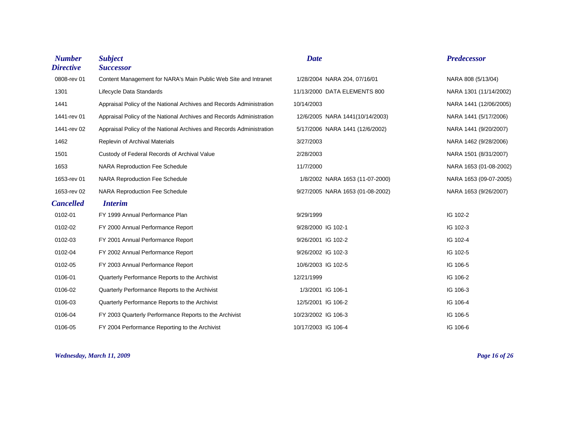| <b>Number</b><br><b>Directive</b> | <b>Subject</b><br><b>Successor</b>                                   | <b>Date</b>                      | <b>Predecessor</b>     |
|-----------------------------------|----------------------------------------------------------------------|----------------------------------|------------------------|
| 0808-rev 01                       | Content Management for NARA's Main Public Web Site and Intranet      | 1/28/2004 NARA 204, 07/16/01     | NARA 808 (5/13/04)     |
| 1301                              | Lifecycle Data Standards                                             | 11/13/2000 DATA ELEMENTS 800     | NARA 1301 (11/14/2002) |
| 1441                              | Appraisal Policy of the National Archives and Records Administration | 10/14/2003                       | NARA 1441 (12/06/2005) |
| 1441-rev 01                       | Appraisal Policy of the National Archives and Records Administration | 12/6/2005 NARA 1441(10/14/2003)  | NARA 1441 (5/17/2006)  |
| 1441-rev 02                       | Appraisal Policy of the National Archives and Records Administration | 5/17/2006 NARA 1441 (12/6/2002)  | NARA 1441 (9/20/2007)  |
| 1462                              | Replevin of Archival Materials                                       | 3/27/2003                        | NARA 1462 (9/28/2006)  |
| 1501                              | Custody of Federal Records of Archival Value                         | 2/28/2003                        | NARA 1501 (8/31/2007)  |
| 1653                              | <b>NARA Reproduction Fee Schedule</b>                                | 11/7/2000                        | NARA 1653 (01-08-2002) |
| 1653-rev 01                       | <b>NARA Reproduction Fee Schedule</b>                                | 1/8/2002 NARA 1653 (11-07-2000)  | NARA 1653 (09-07-2005) |
| 1653-rev 02                       | <b>NARA Reproduction Fee Schedule</b>                                | 9/27/2005 NARA 1653 (01-08-2002) | NARA 1653 (9/26/2007)  |
| <b>Cancelled</b>                  | <i><b>Interim</b></i>                                                |                                  |                        |
| 0102-01                           | FY 1999 Annual Performance Plan                                      | 9/29/1999                        | IG 102-2               |
| 0102-02                           | FY 2000 Annual Performance Report                                    | 9/28/2000 IG 102-1               | IG 102-3               |
| 0102-03                           | FY 2001 Annual Performance Report                                    | 9/26/2001 IG 102-2               | IG 102-4               |
| 0102-04                           | FY 2002 Annual Performance Report                                    | 9/26/2002 IG 102-3               | IG 102-5               |
| 0102-05                           | FY 2003 Annual Performance Report                                    | 10/6/2003 IG 102-5               | IG 106-5               |
| 0106-01                           | Quarterly Performance Reports to the Archivist                       | 12/21/1999                       | IG 106-2               |
| 0106-02                           | Quarterly Performance Reports to the Archivist                       | 1/3/2001 IG 106-1                | IG 106-3               |
| 0106-03                           | Quarterly Performance Reports to the Archivist                       | 12/5/2001 IG 106-2               | IG 106-4               |
| 0106-04                           | FY 2003 Quarterly Performance Reports to the Archivist               | 10/23/2002 IG 106-3              | IG 106-5               |
| 0106-05                           | FY 2004 Performance Reporting to the Archivist                       | 10/17/2003 IG 106-4              | IG 106-6               |

*Wednesday, March 11, 2009 Page 16 of 26*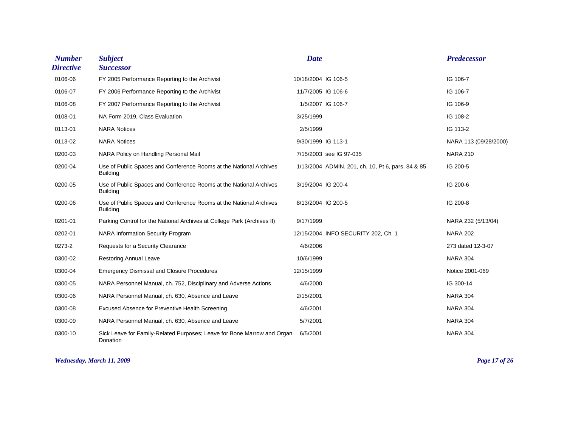| <b>Number</b><br><b>Directive</b> | <b>Subject</b><br><b>Successor</b>                                                    | <b>Date</b>                                       | <b>Predecessor</b>    |
|-----------------------------------|---------------------------------------------------------------------------------------|---------------------------------------------------|-----------------------|
| 0106-06                           | FY 2005 Performance Reporting to the Archivist                                        | 10/18/2004 IG 106-5                               | IG 106-7              |
| 0106-07                           | FY 2006 Performance Reporting to the Archivist                                        | 11/7/2005 IG 106-6                                | IG 106-7              |
| 0106-08                           | FY 2007 Performance Reporting to the Archivist                                        | 1/5/2007 IG 106-7                                 | IG 106-9              |
| 0108-01                           | NA Form 2019, Class Evaluation                                                        | 3/25/1999                                         | IG 108-2              |
| 0113-01                           | <b>NARA Notices</b>                                                                   | 2/5/1999                                          | IG 113-2              |
| 0113-02                           | <b>NARA Notices</b>                                                                   | 9/30/1999 IG 113-1                                | NARA 113 (09/28/2000) |
| 0200-03                           | NARA Policy on Handling Personal Mail                                                 | 7/15/2003 see IG 97-035                           | <b>NARA 210</b>       |
| 0200-04                           | Use of Public Spaces and Conference Rooms at the National Archives<br><b>Building</b> | 1/13/2004 ADMIN. 201, ch. 10, Pt 6, pars. 84 & 85 | IG 200-5              |
| 0200-05                           | Use of Public Spaces and Conference Rooms at the National Archives<br><b>Building</b> | 3/19/2004 IG 200-4                                | IG 200-6              |
| 0200-06                           | Use of Public Spaces and Conference Rooms at the National Archives<br><b>Building</b> | 8/13/2004 IG 200-5                                | IG 200-8              |
| 0201-01                           | Parking Control for the National Archives at College Park (Archives II)               | 9/17/1999                                         | NARA 232 (5/13/04)    |
| 0202-01                           | <b>NARA Information Security Program</b>                                              | 12/15/2004 INFO SECURITY 202, Ch. 1               | <b>NARA 202</b>       |
| 0273-2                            | Requests for a Security Clearance                                                     | 4/6/2006                                          | 273 dated 12-3-07     |
| 0300-02                           | <b>Restoring Annual Leave</b>                                                         | 10/6/1999                                         | <b>NARA 304</b>       |
| 0300-04                           | <b>Emergency Dismissal and Closure Procedures</b>                                     | 12/15/1999                                        | Notice 2001-069       |
| 0300-05                           | NARA Personnel Manual, ch. 752, Disciplinary and Adverse Actions                      | 4/6/2000                                          | IG 300-14             |
| 0300-06                           | NARA Personnel Manual, ch. 630, Absence and Leave                                     | 2/15/2001                                         | <b>NARA 304</b>       |
| 0300-08                           | Excused Absence for Preventive Health Screening                                       | 4/6/2001                                          | <b>NARA 304</b>       |
| 0300-09                           | NARA Personnel Manual, ch. 630, Absence and Leave                                     | 5/7/2001                                          | <b>NARA 304</b>       |
| 0300-10                           | Sick Leave for Family-Related Purposes; Leave for Bone Marrow and Organ<br>Donation   | 6/5/2001                                          | <b>NARA 304</b>       |

*Wednesday, March 11, 2009 Page 17 of 26*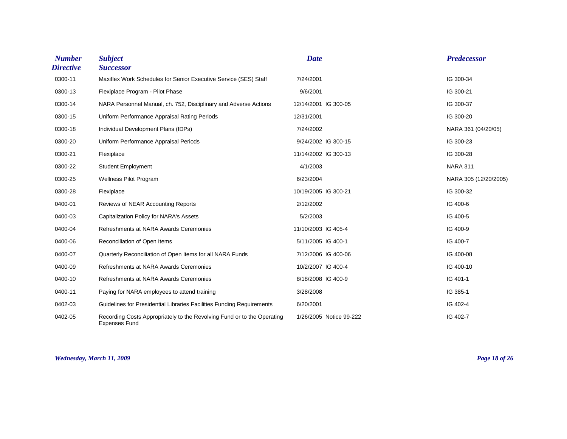| <b>Number</b><br><b>Directive</b> | <b>Subject</b><br><b>Successor</b>                                                              | <b>Date</b>             | <b>Predecessor</b>    |
|-----------------------------------|-------------------------------------------------------------------------------------------------|-------------------------|-----------------------|
| 0300-11                           | Maxiflex Work Schedules for Senior Executive Service (SES) Staff                                | 7/24/2001               | IG 300-34             |
| 0300-13                           | Flexiplace Program - Pilot Phase                                                                | 9/6/2001                | IG 300-21             |
| 0300-14                           | NARA Personnel Manual, ch. 752, Disciplinary and Adverse Actions                                | 12/14/2001 IG 300-05    | IG 300-37             |
| 0300-15                           | Uniform Performance Appraisal Rating Periods                                                    | 12/31/2001              | IG 300-20             |
| 0300-18                           | Individual Development Plans (IDPs)                                                             | 7/24/2002               | NARA 361 (04/20/05)   |
| 0300-20                           | Uniform Performance Appraisal Periods                                                           | 9/24/2002 IG 300-15     | IG 300-23             |
| 0300-21                           | Flexiplace                                                                                      | 11/14/2002 IG 300-13    | IG 300-28             |
| 0300-22                           | <b>Student Employment</b>                                                                       | 4/1/2003                | <b>NARA 311</b>       |
| 0300-25                           | <b>Wellness Pilot Program</b>                                                                   | 6/23/2004               | NARA 305 (12/20/2005) |
| 0300-28                           | Flexiplace                                                                                      | 10/19/2005 IG 300-21    | IG 300-32             |
| 0400-01                           | Reviews of NEAR Accounting Reports                                                              | 2/12/2002               | IG 400-6              |
| 0400-03                           | Capitalization Policy for NARA's Assets                                                         | 5/2/2003                | IG 400-5              |
| 0400-04                           | Refreshments at NARA Awards Ceremonies                                                          | 11/10/2003 IG 405-4     | IG 400-9              |
| 0400-06                           | Reconciliation of Open Items                                                                    | 5/11/2005 IG 400-1      | IG 400-7              |
| 0400-07                           | Quarterly Reconciliation of Open Items for all NARA Funds                                       | 7/12/2006 IG 400-06     | IG 400-08             |
| 0400-09                           | Refreshments at NARA Awards Ceremonies                                                          | 10/2/2007 IG 400-4      | IG 400-10             |
| 0400-10                           | Refreshments at NARA Awards Ceremonies                                                          | 8/18/2008 IG 400-9      | IG 401-1              |
| 0400-11                           | Paying for NARA employees to attend training                                                    | 3/28/2008               | IG 385-1              |
| 0402-03                           | Guidelines for Presidential Libraries Facilities Funding Requirements                           | 6/20/2001               | IG 402-4              |
| 0402-05                           | Recording Costs Appropriately to the Revolving Fund or to the Operating<br><b>Expenses Fund</b> | 1/26/2005 Notice 99-222 | IG 402-7              |

*Wednesday, March 11, 2009 Page 18 of 26*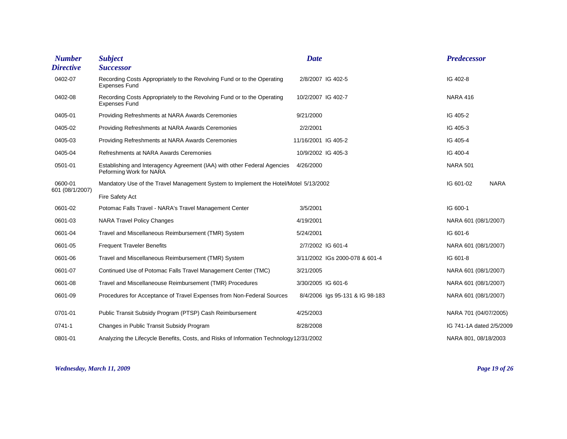| <b>Number</b>    | <b>Subject</b>                                                                                      | <b>Date</b>         |                                 | <b>Predecessor</b>       |             |
|------------------|-----------------------------------------------------------------------------------------------------|---------------------|---------------------------------|--------------------------|-------------|
| <b>Directive</b> | <b>Successor</b>                                                                                    |                     |                                 |                          |             |
| 0402-07          | Recording Costs Appropriately to the Revolving Fund or to the Operating<br><b>Expenses Fund</b>     |                     | 2/8/2007 IG 402-5               | IG 402-8                 |             |
| 0402-08          | Recording Costs Appropriately to the Revolving Fund or to the Operating<br><b>Expenses Fund</b>     | 10/2/2007 IG 402-7  |                                 | <b>NARA 416</b>          |             |
| 0405-01          | Providing Refreshments at NARA Awards Ceremonies                                                    | 9/21/2000           |                                 | IG 405-2                 |             |
| 0405-02          | Providing Refreshments at NARA Awards Ceremonies                                                    | 2/2/2001            |                                 | IG 405-3                 |             |
| 0405-03          | Providing Refreshments at NARA Awards Ceremonies                                                    | 11/16/2001 IG 405-2 |                                 | IG 405-4                 |             |
| 0405-04          | Refreshments at NARA Awards Ceremonies                                                              | 10/9/2002 IG 405-3  |                                 | IG 400-4                 |             |
| 0501-01          | Establishing and Interagency Agreement (IAA) with other Federal Agencies<br>Peforming Work for NARA | 4/26/2000           |                                 | <b>NARA 501</b>          |             |
| 0600-01          | Mandatory Use of the Travel Management System to Implement the Hotel/Motel 5/13/2002                |                     |                                 | IG 601-02                | <b>NARA</b> |
| 601 (08/1/2007)  | Fire Safety Act                                                                                     |                     |                                 |                          |             |
| 0601-02          | Potomac Falls Travel - NARA's Travel Management Center                                              | 3/5/2001            |                                 | IG 600-1                 |             |
| 0601-03          | <b>NARA Travel Policy Changes</b>                                                                   | 4/19/2001           |                                 | NARA 601 (08/1/2007)     |             |
| 0601-04          | Travel and Miscellaneous Reimbursement (TMR) System                                                 | 5/24/2001           |                                 | IG 601-6                 |             |
| 0601-05          | <b>Frequent Traveler Benefits</b>                                                                   |                     | 2/7/2002 IG 601-4               | NARA 601 (08/1/2007)     |             |
| 0601-06          | Travel and Miscellaneous Reimbursement (TMR) System                                                 |                     | 3/11/2002 IGs 2000-078 & 601-4  | IG 601-8                 |             |
| 0601-07          | Continued Use of Potomac Falls Travel Management Center (TMC)                                       | 3/21/2005           |                                 | NARA 601 (08/1/2007)     |             |
| 0601-08          | Travel and Miscellaneouse Reimbursement (TMR) Procedures                                            | 3/30/2005 IG 601-6  |                                 | NARA 601 (08/1/2007)     |             |
| 0601-09          | Procedures for Acceptance of Travel Expenses from Non-Federal Sources                               |                     | 8/4/2006 Igs 95-131 & IG 98-183 | NARA 601 (08/1/2007)     |             |
| 0701-01          | Public Transit Subsidy Program (PTSP) Cash Reimbursement                                            | 4/25/2003           |                                 | NARA 701 (04/07/2005)    |             |
| 0741-1           | Changes in Public Transit Subsidy Program                                                           | 8/28/2008           |                                 | IG 741-1A dated 2/5/2009 |             |
| 0801-01          | Analyzing the Lifecycle Benefits, Costs, and Risks of Information Technology12/31/2002              |                     |                                 | NARA 801, 08/18/2003     |             |

#### *Wednesday, March 11, 2009 Page 19 of 26*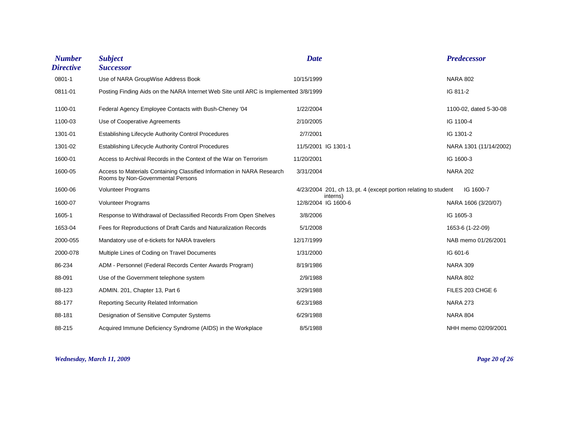| <b>Number</b><br><b>Directive</b> | <b>Subject</b><br><b>Successor</b>                                                                          | <b>Date</b> |                                                                 | <b>Predecessor</b>     |
|-----------------------------------|-------------------------------------------------------------------------------------------------------------|-------------|-----------------------------------------------------------------|------------------------|
| 0801-1                            | Use of NARA GroupWise Address Book                                                                          | 10/15/1999  |                                                                 | <b>NARA 802</b>        |
| 0811-01                           | Posting Finding Aids on the NARA Internet Web Site until ARC is Implemented 3/8/1999                        |             |                                                                 | IG 811-2               |
| 1100-01                           | Federal Agency Employee Contacts with Bush-Cheney '04                                                       | 1/22/2004   |                                                                 | 1100-02, dated 5-30-08 |
| 1100-03                           | Use of Cooperative Agreements                                                                               | 2/10/2005   |                                                                 | IG 1100-4              |
| 1301-01                           | <b>Establishing Lifecycle Authority Control Procedures</b>                                                  | 2/7/2001    |                                                                 | IG 1301-2              |
| 1301-02                           | <b>Establishing Lifecycle Authority Control Procedures</b>                                                  |             | 11/5/2001 IG 1301-1                                             | NARA 1301 (11/14/2002) |
| 1600-01                           | Access to Archival Records in the Context of the War on Terrorism                                           | 11/20/2001  |                                                                 | IG 1600-3              |
| 1600-05                           | Access to Materials Containing Classified Information in NARA Research<br>Rooms by Non-Governmental Persons | 3/31/2004   |                                                                 | <b>NARA 202</b>        |
| 1600-06                           | <b>Volunteer Programs</b>                                                                                   |             | 4/23/2004 201, ch 13, pt. 4 (except portion relating to student | IG 1600-7              |
| 1600-07                           | <b>Volunteer Programs</b>                                                                                   |             | interns)<br>12/8/2004 IG 1600-6                                 | NARA 1606 (3/20/07)    |
| 1605-1                            | Response to Withdrawal of Declassified Records From Open Shelves                                            | 3/8/2006    |                                                                 | IG 1605-3              |
| 1653-04                           | Fees for Reproductions of Draft Cards and Naturalization Records                                            | 5/1/2008    |                                                                 | 1653-6 (1-22-09)       |
| 2000-055                          | Mandatory use of e-tickets for NARA travelers                                                               | 12/17/1999  |                                                                 | NAB memo 01/26/2001    |
| 2000-078                          | Multiple Lines of Coding on Travel Documents                                                                | 1/31/2000   |                                                                 | IG 601-6               |
| 86-234                            | ADM - Personnel (Federal Records Center Awards Program)                                                     | 8/19/1986   |                                                                 | <b>NARA 309</b>        |
| 88-091                            | Use of the Government telephone system                                                                      | 2/9/1988    |                                                                 | <b>NARA 802</b>        |
| 88-123                            | ADMIN. 201, Chapter 13, Part 6                                                                              | 3/29/1988   |                                                                 | FILES 203 CHGE 6       |
| 88-177                            | Reporting Security Related Information                                                                      | 6/23/1988   |                                                                 | <b>NARA 273</b>        |
| 88-181                            | Designation of Sensitive Computer Systems                                                                   | 6/29/1988   |                                                                 | <b>NARA 804</b>        |
| 88-215                            | Acquired Immune Deficiency Syndrome (AIDS) in the Workplace                                                 | 8/5/1988    |                                                                 | NHH memo 02/09/2001    |

*Wednesday, March 11, 2009 Page 20 of 26*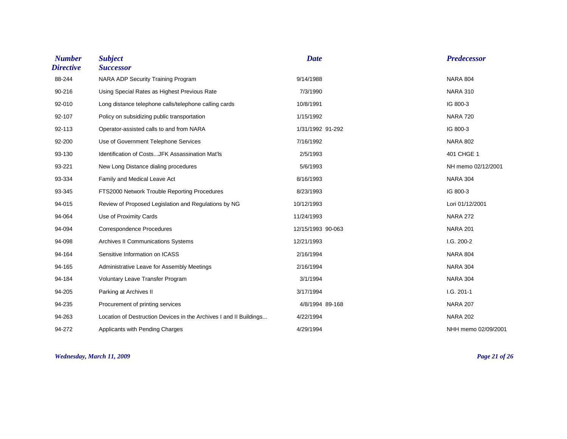| <b>Number</b><br><b>Directive</b> | <b>Subject</b><br><b>Successor</b>                                 | <b>Date</b>       | <b>Predecessor</b>  |
|-----------------------------------|--------------------------------------------------------------------|-------------------|---------------------|
| 88-244                            | NARA ADP Security Training Program                                 | 9/14/1988         | <b>NARA 804</b>     |
| 90-216                            | Using Special Rates as Highest Previous Rate                       | 7/3/1990          | <b>NARA 310</b>     |
| 92-010                            | Long distance telephone calls/telephone calling cards              | 10/8/1991         | IG 800-3            |
| 92-107                            | Policy on subsidizing public transportation                        | 1/15/1992         | <b>NARA 720</b>     |
| 92-113                            | Operator-assisted calls to and from NARA                           | 1/31/1992 91-292  | IG 800-3            |
| 92-200                            | Use of Government Telephone Services                               | 7/16/1992         | <b>NARA 802</b>     |
| 93-130                            | Identification of CostsJFK Assassination Mat'ls                    | 2/5/1993          | 401 CHGE 1          |
| 93-221                            | New Long Distance dialing procedures                               | 5/6/1993          | NH memo 02/12/2001  |
| 93-334                            | Family and Medical Leave Act                                       | 8/16/1993         | <b>NARA 304</b>     |
| 93-345                            | FTS2000 Network Trouble Reporting Procedures                       | 8/23/1993         | IG 800-3            |
| 94-015                            | Review of Proposed Legislation and Regulations by NG               | 10/12/1993        | Lori 01/12/2001     |
| 94-064                            | Use of Proximity Cards                                             | 11/24/1993        | <b>NARA 272</b>     |
| 94-094                            | <b>Correspondence Procedures</b>                                   | 12/15/1993 90-063 | <b>NARA 201</b>     |
| 94-098                            | <b>Archives II Communications Systems</b>                          | 12/21/1993        | I.G. 200-2          |
| 94-164                            | Sensitive Information on ICASS                                     | 2/16/1994         | <b>NARA 804</b>     |
| 94-165                            | Administrative Leave for Assembly Meetings                         | 2/16/1994         | <b>NARA 304</b>     |
| 94-184                            | Voluntary Leave Transfer Program                                   | 3/1/1994          | <b>NARA 304</b>     |
| 94-205                            | Parking at Archives II                                             | 3/17/1994         | $I.G. 201-1$        |
| 94-235                            | Procurement of printing services                                   | 4/8/1994 89-168   | <b>NARA 207</b>     |
| 94-263                            | Location of Destruction Devices in the Archives I and II Buildings | 4/22/1994         | <b>NARA 202</b>     |
| 94-272                            | Applicants with Pending Charges                                    | 4/29/1994         | NHH memo 02/09/2001 |

*Wednesday, March 11, 2009 Page 21 of 26*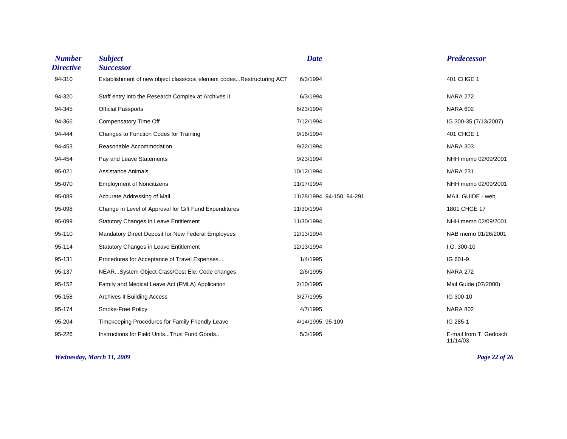| <b>Number</b><br><b>Directive</b> | <b>Subject</b><br><b>Successor</b>                                    | <b>Date</b>               | <b>Predecessor</b>                 |
|-----------------------------------|-----------------------------------------------------------------------|---------------------------|------------------------------------|
| 94-310                            | Establishment of new object class/cost element codesRestructuring ACT | 6/3/1994                  | 401 CHGE 1                         |
| 94-320                            | Staff entry into the Research Complex at Archives II                  | 6/3/1994                  | <b>NARA 272</b>                    |
| 94-345                            | <b>Official Passports</b>                                             | 6/23/1994                 | <b>NARA 602</b>                    |
| 94-366                            | Compensatory Time Off                                                 | 7/12/1994                 | IG 300-35 (7/13/2007)              |
| 94-444                            | Changes to Function Codes for Training                                | 9/16/1994                 | 401 CHGE 1                         |
| 94-453                            | Reasonable Accommodation                                              | 9/22/1994                 | <b>NARA 303</b>                    |
| 94-454                            | Pay and Leave Statements                                              | 9/23/1994                 | NHH memo 02/09/2001                |
| 95-021                            | <b>Assistance Animals</b>                                             | 10/12/1994                | <b>NARA 231</b>                    |
| 95-070                            | <b>Employment of Noncitizens</b>                                      | 11/17/1994                | NHH memo 02/09/2001                |
| 95-089                            | Accurate Addressing of Mail                                           | 11/28/1994 94-150, 94-291 | MAIL GUIDE - web                   |
| 95-098                            | Change in Level of Approval for Gift Fund Expenditures                | 11/30/1994                | 1801 CHGE 17                       |
| 95-099                            | <b>Statutory Changes in Leave Entitlement</b>                         | 11/30/1994                | NHH memo 02/09/2001                |
| 95-110                            | Mandatory Direct Deposit for New Federal Employees                    | 12/13/1994                | NAB memo 01/26/2001                |
| 95-114                            | <b>Statutory Changes in Leave Entitlement</b>                         | 12/13/1994                | I.G. 300-10                        |
| 95-131                            | Procedures for Acceptance of Travel Expenses                          | 1/4/1995                  | IG 601-9                           |
| 95-137                            | NEARSystem Object Class/Cost Ele. Code changes                        | 2/6/1995                  | <b>NARA 272</b>                    |
| 95-152                            | Family and Medical Leave Act (FMLA) Application                       | 2/10/1995                 | Mail Guide (07/2000)               |
| 95-158                            | <b>Archives II Building Access</b>                                    | 3/27/1995                 | IG 300-10                          |
| 95-174                            | Smoke-Free Policy                                                     | 4/7/1995                  | <b>NARA 802</b>                    |
| 95-204                            | Timekeeping Procedures for Family Friendly Leave                      | 4/14/1995 95-109          | IG 285-1                           |
| 95-226                            | Instructions for Field UnitsTrust Fund Goods                          | 5/3/1995                  | E-mail from T. Gedosch<br>11/14/03 |

*Wednesday, March 11, 2009 Page 22 of 26*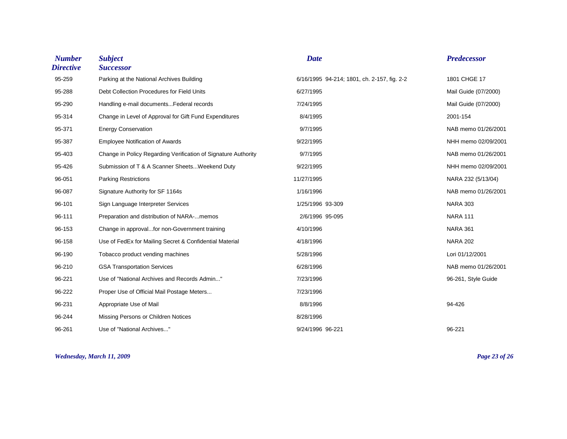| <b>Number</b><br><b>Directive</b> | <b>Subject</b><br><b>Successor</b>                             | <b>Date</b>                                 | <b>Predecessor</b>   |
|-----------------------------------|----------------------------------------------------------------|---------------------------------------------|----------------------|
| 95-259                            | Parking at the National Archives Building                      | 6/16/1995 94-214; 1801, ch. 2-157, fig. 2-2 | 1801 CHGE 17         |
| 95-288                            | Debt Collection Procedures for Field Units                     | 6/27/1995                                   | Mail Guide (07/2000) |
| 95-290                            | Handling e-mail documents Federal records                      | 7/24/1995                                   | Mail Guide (07/2000) |
| 95-314                            | Change in Level of Approval for Gift Fund Expenditures         | 8/4/1995                                    | 2001-154             |
| 95-371                            | <b>Energy Conservation</b>                                     | 9/7/1995                                    | NAB memo 01/26/2001  |
| 95-387                            | <b>Employee Notification of Awards</b>                         | 9/22/1995                                   | NHH memo 02/09/2001  |
| 95-403                            | Change in Policy Regarding Verification of Signature Authority | 9/7/1995                                    | NAB memo 01/26/2001  |
| 95-426                            | Submission of T & A Scanner SheetsWeekend Duty                 | 9/22/1995                                   | NHH memo 02/09/2001  |
| 96-051                            | <b>Parking Restrictions</b>                                    | 11/27/1995                                  | NARA 232 (5/13/04)   |
| 96-087                            | Signature Authority for SF 1164s                               | 1/16/1996                                   | NAB memo 01/26/2001  |
| 96-101                            | Sign Language Interpreter Services                             | 1/25/1996 93-309                            | <b>NARA 303</b>      |
| 96-111                            | Preparation and distribution of NARA-memos                     | 2/6/1996 95-095                             | <b>NARA 111</b>      |
| 96-153                            | Change in approvalfor non-Government training                  | 4/10/1996                                   | <b>NARA 361</b>      |
| 96-158                            | Use of FedEx for Mailing Secret & Confidential Material        | 4/18/1996                                   | <b>NARA 202</b>      |
| 96-190                            | Tobacco product vending machines                               | 5/28/1996                                   | Lori 01/12/2001      |
| 96-210                            | <b>GSA Transportation Services</b>                             | 6/28/1996                                   | NAB memo 01/26/2001  |
| 96-221                            | Use of "National Archives and Records Admin"                   | 7/23/1996                                   | 96-261, Style Guide  |
| 96-222                            | Proper Use of Official Mail Postage Meters                     | 7/23/1996                                   |                      |
| 96-231                            | Appropriate Use of Mail                                        | 8/8/1996                                    | 94-426               |
| 96-244                            | Missing Persons or Children Notices                            | 8/28/1996                                   |                      |
| 96-261                            | Use of "National Archives"                                     | 9/24/1996 96-221                            | 96-221               |

#### *Wednesday, March 11, 2009 Page 23 of 26*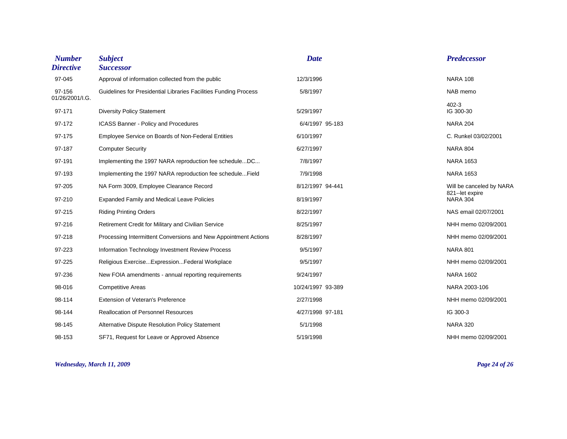| <b>Number</b><br><b>Directive</b> | <b>Subject</b><br><b>Successor</b>                               | <b>Date</b>       | <b>Predecessor</b>                         |
|-----------------------------------|------------------------------------------------------------------|-------------------|--------------------------------------------|
| 97-045                            | Approval of information collected from the public                | 12/3/1996         | <b>NARA 108</b>                            |
| 97-156<br>01/26/2001/I.G.         | Guidelines for Presidential Libraries Facilities Funding Process | 5/8/1997          | NAB memo                                   |
| 97-171                            | <b>Diversity Policy Statement</b>                                | 5/29/1997         | $402 - 3$<br>IG 300-30                     |
| 97-172                            | ICASS Banner - Policy and Procedures                             | 6/4/1997 95-183   | <b>NARA 204</b>                            |
| 97-175                            | Employee Service on Boards of Non-Federal Entities               | 6/10/1997         | C. Runkel 03/02/2001                       |
| 97-187                            | <b>Computer Security</b>                                         | 6/27/1997         | <b>NARA 804</b>                            |
| 97-191                            | Implementing the 1997 NARA reproduction fee scheduleDC           | 7/8/1997          | <b>NARA 1653</b>                           |
| 97-193                            | Implementing the 1997 NARA reproduction fee scheduleField        | 7/9/1998          | <b>NARA 1653</b>                           |
| 97-205                            | NA Form 3009, Employee Clearance Record                          | 8/12/1997 94-441  | Will be canceled by NARA<br>821-let expire |
| 97-210                            | <b>Expanded Family and Medical Leave Policies</b>                | 8/19/1997         | <b>NARA 304</b>                            |
| 97-215                            | <b>Riding Printing Orders</b>                                    | 8/22/1997         | NAS email 02/07/2001                       |
| 97-216                            | Retirement Credit for Military and Civilian Service              | 8/25/1997         | NHH memo 02/09/2001                        |
| 97-218                            | Processing Intermittent Conversions and New Appointment Actions  | 8/28/1997         | NHH memo 02/09/2001                        |
| 97-223                            | Information Technology Investment Review Process                 | 9/5/1997          | <b>NARA 801</b>                            |
| 97-225                            | Religious ExerciseExpressionFederal Workplace                    | 9/5/1997          | NHH memo 02/09/2001                        |
| 97-236                            | New FOIA amendments - annual reporting requirements              | 9/24/1997         | <b>NARA 1602</b>                           |
| 98-016                            | <b>Competitive Areas</b>                                         | 10/24/1997 93-389 | NARA 2003-106                              |
| 98-114                            | Extension of Veteran's Preference                                | 2/27/1998         | NHH memo 02/09/2001                        |
| 98-144                            | <b>Reallocation of Personnel Resources</b>                       | 4/27/1998 97-181  | IG 300-3                                   |
| 98-145                            | Alternative Dispute Resolution Policy Statement                  | 5/1/1998          | <b>NARA 320</b>                            |
| 98-153                            | SF71, Request for Leave or Approved Absence                      | 5/19/1998         | NHH memo 02/09/2001                        |

### *Wednesday, March 11, 2009 Page 24 of 26*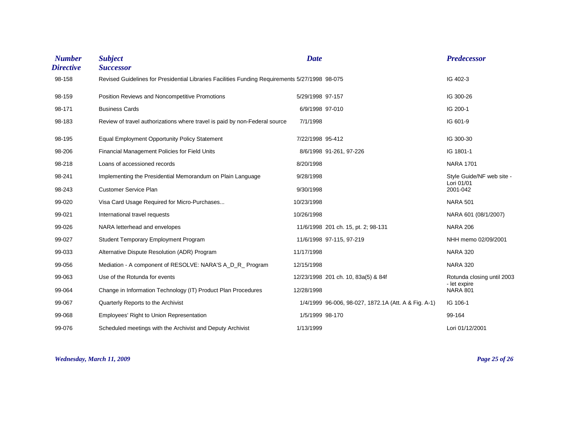| <b>Number</b><br><b>Directive</b> | <b>Subject</b><br><b>Successor</b>                                                             | <b>Date</b>      |                                                      | <b>Predecessor</b>                      |
|-----------------------------------|------------------------------------------------------------------------------------------------|------------------|------------------------------------------------------|-----------------------------------------|
| 98-158                            | Revised Guidelines for Presidential Libraries Facilities Funding Requirements 5/27/1998 98-075 |                  |                                                      | IG 402-3                                |
| 98-159                            | Position Reviews and Noncompetitive Promotions                                                 | 5/29/1998 97-157 |                                                      | IG 300-26                               |
| 98-171                            | <b>Business Cards</b>                                                                          | 6/9/1998 97-010  |                                                      | IG 200-1                                |
| 98-183                            | Review of travel authorizations where travel is paid by non-Federal source                     | 7/1/1998         |                                                      | IG 601-9                                |
| 98-195                            | <b>Equal Employment Opportunity Policy Statement</b>                                           | 7/22/1998 95-412 |                                                      | IG 300-30                               |
| 98-206                            | Financial Management Policies for Field Units                                                  |                  | 8/6/1998 91-261, 97-226                              | IG 1801-1                               |
| 98-218                            | Loans of accessioned records                                                                   | 8/20/1998        |                                                      | <b>NARA 1701</b>                        |
| 98-241                            | Implementing the Presidential Memorandum on Plain Language                                     | 9/28/1998        |                                                      | Style Guide/NF web site -<br>Lori 01/01 |
| 98-243                            | <b>Customer Service Plan</b>                                                                   | 9/30/1998        |                                                      | 2001-042                                |
| 99-020                            | Visa Card Usage Required for Micro-Purchases                                                   | 10/23/1998       |                                                      | <b>NARA 501</b>                         |
| 99-021                            | International travel requests                                                                  | 10/26/1998       |                                                      | NARA 601 (08/1/2007)                    |
| 99-026                            | NARA letterhead and envelopes                                                                  |                  | 11/6/1998 201 ch. 15, pt. 2; 98-131                  | <b>NARA 206</b>                         |
| 99-027                            | Student Temporary Employment Program                                                           |                  | 11/6/1998 97-115, 97-219                             | NHH memo 02/09/2001                     |
| 99-033                            | Alternative Dispute Resolution (ADR) Program                                                   | 11/17/1998       |                                                      | <b>NARA 320</b>                         |
| 99-056                            | Mediation - A component of RESOLVE: NARA'S A_D_R_ Program                                      | 12/15/1998       |                                                      | <b>NARA 320</b>                         |
| 99-063                            | Use of the Rotunda for events                                                                  |                  | 12/23/1998 201 ch. 10, 83a(5) & 84f                  | Rotunda closing until 2003              |
| 99-064                            | Change in Information Technology (IT) Product Plan Procedures                                  | 12/28/1998       |                                                      | - let expire<br><b>NARA 801</b>         |
| 99-067                            | Quarterly Reports to the Archivist                                                             |                  | 1/4/1999 96-006, 98-027, 1872.1A (Att. A & Fig. A-1) | IG 106-1                                |
| 99-068                            | Employees' Right to Union Representation                                                       | 1/5/1999 98-170  |                                                      | 99-164                                  |
| 99-076                            | Scheduled meetings with the Archivist and Deputy Archivist                                     | 1/13/1999        |                                                      | Lori 01/12/2001                         |

*Wednesday, March 11, 2009 Page 25 of 26*